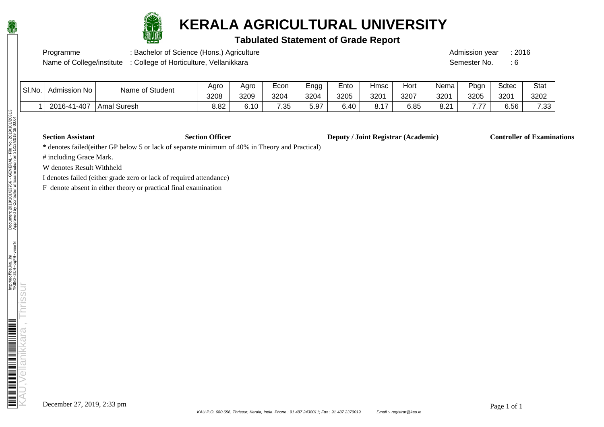

## **KERALA AGRICULTURAL UNIVERSITY**

## **Tabulated Statement of Grade Report**

Programme : Bachelor of Science (Hons.) Agriculture : Admission year : 2016

Name of College/institute : College of Horticulture, Vellanikkara Semester No. : 6

| Name of Student | Agro | Aaro | ⊏con | Engg | $\overline{\phantom{0}}$<br>∟nto | Hmsc | Hort | Nema | $P$ <sub>bgn</sub> | Sdtec | <b>Stat</b> |
|-----------------|------|------|------|------|----------------------------------|------|------|------|--------------------|-------|-------------|
|                 | 3208 | 3209 | 3204 | 3204 | 3205                             | 3201 | 3207 | 3201 | 3205               | 3201  | 3202        |

1 2016-41-407 Amal Suresh | 8.82 | 6.10 | 7.35 | 5.97 | 6.40 | 8.17 | 6.85 | 8.21 | 7.77 | 6.56 | 7.33

 $|$  Sl.No.  $|$  Admission No

**Section Assistant Section Officer Deputy / Joint Registrar (Academic) Controller of Examinations** 

\* denotes failed(either GP below 5 or lack of separate minimum of 40% in Theory and Practical)

# including Grace Mark.

W denotes Result Withheld

I denotes failed (either grade zero or lack of required attendance)

F denote absent in either theory or practical final examination